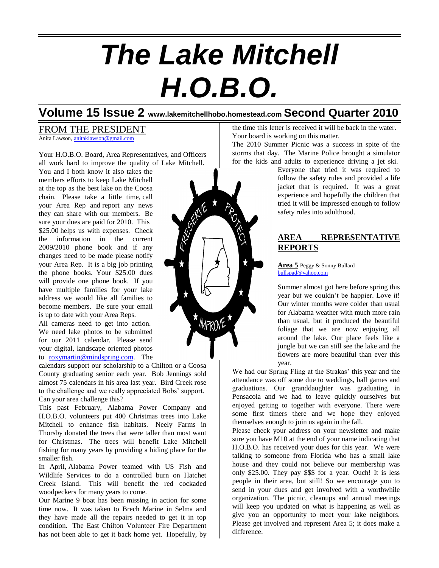# *The Lake Mitchell H.O.B.O.*

# **Volume 15 Issue 2 www.lakemitchellhobo.homestead.com Second Quarter 2010**

#### FROM THE PRESIDENT Anita Lawson, [anitaklawson@gmail.com](mailto:anitaklawson@gmail.com)

Your H.O.B.O. Board, Area Representatives, and Officers all work hard to improve the quality of Lake Mitchell.

You and I both know it also takes the members efforts to keep Lake Mitchell at the top as the best lake on the Coosa chain. Please take a little time, call your Area Rep and report any news they can share with our members. Be sure your dues are paid for 2010. This \$25.00 helps us with expenses. Check the information in the current 2009/2010 phone book and if any changes need to be made please notify your Area Rep. It is a big job printing the phone books. Your \$25.00 dues will provide one phone book. If you have multiple families for your lake address we would like all families to become members. Be sure your email is up to date with your Area Reps.

All cameras need to get into action. We need lake photos to be submitted for our 2011 calendar. Please send your digital, landscape oriented photos to [roxymartin@mindspring.com.](mailto:roxymartin@mindspring.com) The

calendars support our scholarship to a Chilton or a Coosa County graduating senior each year. Bob Jennings sold almost 75 calendars in his area last year. Bird Creek rose to the challenge and we really appreciated Bobs' support. Can your area challenge this?

This past February, Alabama Power Company and H.O.B.O. volunteers put 400 Christmas trees into Lake Mitchell to enhance fish habitats. Neely Farms in Thorsby donated the trees that were taller than most want for Christmas. The trees will benefit Lake Mitchell fishing for many years by providing a hiding place for the smaller fish.

In April, Alabama Power teamed with US Fish and Wildlife Services to do a controlled burn on Hatchet Creek Island. This will benefit the red cockaded woodpeckers for many years to come.

Our Marine 9 boat has been missing in action for some time now. It was taken to Brech Marine in Selma and they have made all the repairs needed to get it in top condition. The East Chilton Volunteer Fire Department has not been able to get it back home yet. Hopefully, by the time this letter is received it will be back in the water. Your board is working on this matter.

The 2010 Summer Picnic was a success in spite of the storms that day. The Marine Police brought a simulator for the kids and adults to experience driving a jet ski.

Everyone that tried it was required to follow the safety rules and provided a life jacket that is required. It was a great experience and hopefully the children that tried it will be impressed enough to follow safety rules into adulthood.

### **AREA REPRESENTATIVE REPORTS**

**Area 5** Peggy & Sonny Bullard [bullspad@yahoo.com](mailto:bullspad@yahoo.com)

Summer almost got here before spring this year but we couldn't be happier. Love it! Our winter months were colder than usual for Alabama weather with much more rain than usual, but it produced the beautiful foliage that we are now enjoying all around the lake. Our place feels like a jungle but we can still see the lake and the flowers are more beautiful than ever this year.

We had our Spring Fling at the Strakas' this year and the attendance was off some due to weddings, ball games and graduations. Our granddaughter was graduating in Pensacola and we had to leave quickly ourselves but enjoyed getting to together with everyone. There were some first timers there and we hope they enjoyed themselves enough to join us again in the fall.

Please check your address on your newsletter and make sure you have M10 at the end of your name indicating that H.O.B.O. has received your dues for this year. We were talking to someone from Florida who has a small lake house and they could not believe our membership was only \$25.00. They pay \$\$\$ for a year. Ouch! It is less people in their area, but still! So we encourage you to send in your dues and get involved with a worthwhile organization. The picnic, cleanups and annual meetings will keep you updated on what is happening as well as give you an opportunity to meet your lake neighbors. Please get involved and represent Area 5; it does make a difference.

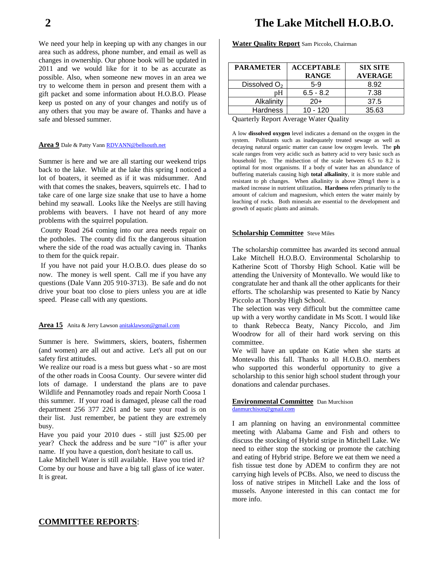We need your help in keeping up with any changes in our area such as address, phone number, and email as well as changes in ownership. Our phone book will be updated in 2011 and we would like for it to be as accurate as possible. Also, when someone new moves in an area we try to welcome them in person and present them with a gift packet and some information about H.O.B.O. Please keep us posted on any of your changes and notify us of any others that you may be aware of. Thanks and have a safe and blessed summer.

#### **Area 9** Dale & Patty Van[n RDVANN@bellsouth.net](mailto:RDVANN@bellsouth.net)

Summer is here and we are all starting our weekend trips back to the lake. While at the lake this spring I noticed a lot of boaters, it seemed as if it was midsummer. And with that comes the snakes, beavers, squirrels etc. I had to take care of one large size snake that use to have a home behind my seawall. Looks like the Neelys are still having problems with beavers. I have not heard of any more problems with the squirrel population.

County Road 264 coming into our area needs repair on the potholes. The county did fix the dangerous situation where the side of the road was actually caving in. Thanks to them for the quick repair.

If you have not paid your H.O.B.O. dues please do so now. The money is well spent. Call me if you have any questions (Dale Vann 205 910-3713). Be safe and do not drive your boat too close to piers unless you are at idle speed. Please call with any questions.

#### **Area 15** Anita & Jerry Lawson [anitaklawson@gmail.com](mailto:anitaklawson@gmail.com)

Summer is here. Swimmers, skiers, boaters, fishermen (and women) are all out and active. Let's all put on our safety first attitudes.

We realize our road is a mess but guess what - so are most of the other roads in Coosa County. Our severe winter did lots of damage. I understand the plans are to pave Wildlife and Pennamotley roads and repair North Coosa 1 this summer. If your road is damaged, please call the road department 256 377 2261 and be sure your road is on their list. Just remember, be patient they are extremely busy.

Have you paid your 2010 dues - still just \$25.00 per year? Check the address and be sure "10" is after your name. If you have a question, don't hesitate to call us.

Lake Mitchell Water is still available. Have you tried it? Come by our house and have a big tall glass of ice water. It is great.

# **2 The Lake Mitchell H.O.B.O.**

**Water Quality Report** Sam Piccolo, Chairman

| <b>PARAMETER</b>         | <b>ACCEPTABLE</b><br><b>RANGE</b> | <b>SIX SITE</b><br><b>AVERAGE</b> |
|--------------------------|-----------------------------------|-----------------------------------|
| Dissolved O <sub>2</sub> | $5-9$                             | 8.92                              |
| pН                       | $6.5 - 8.2$                       | 7.38                              |
| Alkalinity               | $20+$                             | 37.5                              |
| <b>Hardness</b>          | $10 - 120$                        | 35.63                             |

Quarterly Report Average Water Quality

A low **dissolved oxygen** level indicates a demand on the oxygen in the system. Pollutants such as inadequately treated sewage as well as decaying natural organic matter can cause low oxygen levels. The **ph** scale ranges from very acidic such as battery acid to very basic such as household lye. The midsection of the scale between 6.5 to 8.2 is optimal for most organisms. If a body of water has an abundance of buffering materials causing high **total alkalinity**, it is more stable and resistant to ph changes. When alkalinity is above 20mg/l there is a marked increase in nutrient utilization**. Hardness** refers primarily to the amount of calcium and magnesium, which enters the water mainly by leaching of rocks. Both minerals are essential to the development and growth of aquatic plants and animals.

#### **Scholarship Committee** Steve Miles

The scholarship committee has awarded its second annual Lake Mitchell H.O.B.O. Environmental Scholarship to Katherine Scott of Thorsby High School. Katie will be attending the University of Montevallo. We would like to congratulate her and thank all the other applicants for their efforts. The scholarship was presented to Katie by Nancy Piccolo at Thorsby High School.

The selection was very difficult but the committee came up with a very worthy candidate in Ms Scott. I would like to thank Rebecca Beaty, Nancy Piccolo, and Jim Woodrow for all of their hard work serving on this committee.

We will have an update on Katie when she starts at Montevallo this fall. Thanks to all H.O.B.O. members who supported this wonderful opportunity to give a scholarship to this senior high school student through your donations and calendar purchases.

#### **Environmental Committee** Dan Murchison [danmurchison@gmail.com](mailto:danmurchison@gmail.com)

I am planning on having an environmental committee meeting with Alabama Game and Fish and others to discuss the stocking of Hybrid stripe in Mitchell Lake. We need to either stop the stocking or promote the catching and eating of Hybrid stripe. Before we eat them we need a fish tissue test done by ADEM to confirm they are not carrying high levels of PCBs. Also, we need to discuss the loss of native stripes in Mitchell Lake and the loss of mussels. Anyone interested in this can contact me for more info.

#### **COMMITTEE REPORTS**: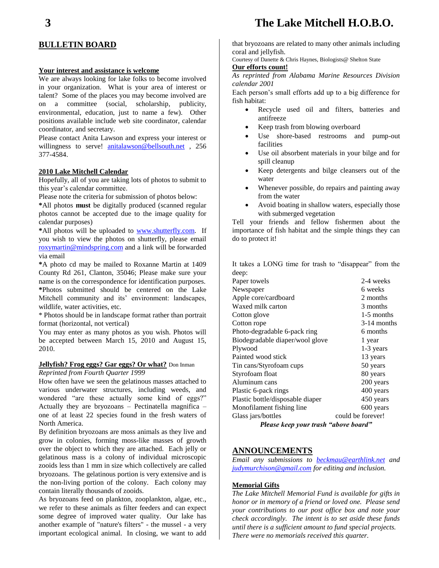### **BULLETIN BOARD**

#### **Your interest and assistance is welcome**

We are always looking for lake folks to become involved in your organization. What is your area of interest or talent? Some of the places you may become involved are on a committee (social, scholarship, publicity, environmental, education, just to name a few). Other positions available include web site coordinator, calendar coordinator, and secretary.

Please contact Anita Lawson and express your interest or willingness to serve! [anitalawson@bellsouth.net](mailto:anitalawson@bellsouth.net) , 256 377-4584.

#### **2010 Lake Mitchell Calendar**

Hopefully, all of you are taking lots of photos to submit to this year's calendar committee.

Please note the criteria for submission of photos below:

**\***All photos **must** be digitally produced (scanned regular photos cannot be accepted due to the image quality for calendar purposes)

**\***All photos will be uploaded to [www.shutterfly.com.](http://www.shutterfly.com/) If you wish to view the photos on shutterfly, please email [roxymartin@mindspring.com](mailto:roxymartin@mindspring.com) and a link will be forwarded via email

**\***A photo cd may be mailed to Roxanne Martin at 1409 County Rd 261, Clanton, 35046; Please make sure your name is on the correspondence for identification purposes. **\***Photos submitted should be centered on the Lake Mitchell community and its' environment: landscapes, wildlife, water activities, etc.

\* Photos should be in landscape format rather than portrait format (horizontal, not vertical)

You may enter as many photos as you wish. Photos will be accepted between March 15, 2010 and August 15, 2010.

#### **Jellyfish? Frog eggs? Gar eggs? Or what?** Don Inman

#### *Reprinted from Fourth Quarter 1999*

How often have we seen the gelatinous masses attached to various underwater structures, including weeds, and wondered "are these actually some kind of eggs?" Actually they are bryozoans – Pectinatella magnifica – one of at least 22 species found in the fresh waters of North America.

By definition bryozoans are moss animals as they live and grow in colonies, forming moss-like masses of growth over the object to which they are attached. Each jelly or gelatinous mass is a colony of individual microscopic zooids less than 1 mm in size which collectively are called bryozoans. The gelatinous portion is very extensive and is the non-living portion of the colony. Each colony may contain literally thousands of zooids.

As bryozoans feed on plankton, zooplankton, algae, etc., we refer to these animals as filter feeders and can expect some degree of improved water quality. Our lake has another example of "nature's filters" - the mussel - a very important ecological animal. In closing, we want to add that bryozoans are related to many other animals including coral and jellyfish.

Courtesy of Danette & Chris Haynes, Biologists@ Shelton State

#### **Our efforts count!**

*As reprinted from Alabama Marine Resources Division calendar 2001*

Each person's small efforts add up to a big difference for fish habitat:

- Recycle used oil and filters, batteries and antifreeze
- Keep trash from blowing overboard
- Use shore-based restrooms and pump-out facilities
- Use oil absorbent materials in your bilge and for spill cleanup
- Keep detergents and bilge cleansers out of the water
- Whenever possible, do repairs and painting away from the water
- Avoid boating in shallow waters, especially those with submerged vegetation

Tell your friends and fellow fishermen about the importance of fish habitat and the simple things they can do to protect it!

It takes a LONG time for trash to "disappear" from the deep:

| Please keep your trash "above board" |                   |  |  |
|--------------------------------------|-------------------|--|--|
| Glass jars/bottles                   | could be forever! |  |  |
| Monofilament fishing line            | 600 years         |  |  |
| Plastic bottle/disposable diaper     | 450 years         |  |  |
| Plastic 6-pack rings                 | 400 years         |  |  |
| Aluminum cans                        | 200 years         |  |  |
| Styrofoam float                      | 80 years          |  |  |
| Tin cans/Styrofoam cups              | 50 years          |  |  |
| Painted wood stick                   | 13 years          |  |  |
| Plywood                              | 1-3 years         |  |  |
| Biodegradable diaper/wool glove      | 1 year            |  |  |
| Photo-degradable 6-pack ring         | 6 months          |  |  |
| Cotton rope                          | $3-14$ months     |  |  |
| Cotton glove                         | 1-5 months        |  |  |
| Waxed milk carton                    | 3 months          |  |  |
| Apple core/cardboard                 | 2 months          |  |  |
| Newspaper                            | 6 weeks           |  |  |
| Paper towels                         | 2-4 weeks         |  |  |
|                                      |                   |  |  |

#### **ANNOUNCEMENTS**

*Email any submissions to [beckmau@earthlink.net](mailto:beckmau@earthlink.net) and [judymurchison@gmail.com](mailto:judymurchison@gmail.com) for editing and inclusion.*

#### **Memorial Gifts**

*The Lake Mitchell Memorial Fund is available for gifts in honor or in memory of a friend or loved one. Please send your contributions to our post office box and note your check accordingly. The intent is to set aside these funds until there is a sufficient amount to fund special projects. There were no memorials received this quarter.*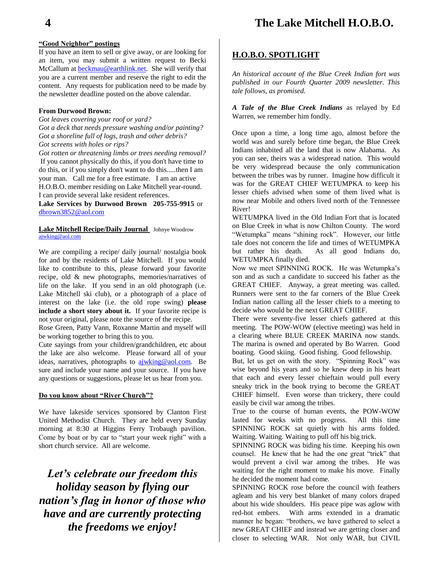## **4 The Lake Mitchell H.O.B.O.**

#### **"Good Neighbor" postings**

If you have an item to sell or give away, or are looking for an item, you may submit a written request to Becki McCallum at [beckmau@earthlink.net.](mailto:beckmau@earthlink.net) She will verify that you are a current member and reserve the right to edit the content. Any requests for publication need to be made by the newsletter deadline posted on the above calendar.

#### **From Durwood Brown:**

*Got leaves covering your roof or yard? Got a deck that needs pressure washing and/or painting? Got a shoreline full of logs, trash and other debris? Got screens with holes or rips?*

*Got rotten or threatening limbs or trees needing removal?* If you cannot physically do this, if you don't have time to do this, or if you simply don't want to do this.....then I am your man. Call me for a free estimate. I am an active H.O.B.O. member residing on Lake Mitchell year-round. I can provide several lake resident references.

**Lake Services by Durwood Brown 205-755-9915** or [dbrown3852@aol.com](mailto:dbrown3852@aol.com)

#### **Lake Mitchell Recipe/Daily Journal** Johnye Woodrow [ajwking@aol.com](mailto:ajwking@aol.com)

We are compiling a recipe/ daily journal/ nostalgia book for and by the residents of Lake Mitchell. If you would like to contribute to this, please forward your favorite recipe, old & new photographs, memories/narratives of life on the lake. If you send in an old photograph (i.e. Lake Mitchell ski club), or a photograph of a place of interest on the lake (i.e. the old rope swing) **please include a short story about it.** If your favorite recipe is not your original, please note the source of the recipe.

Rose Green, Patty Vann, Roxanne Martin and myself will be working together to bring this to you.

Cute sayings from your children/grandchildren, etc about the lake are also welcome. Please forward all of your ideas, narratives, photographs to [ajwking@aol.com.](mailto:ajwking@aol.com) Be sure and include your name and your source. If you have any questions or suggestions, please let us hear from you.

#### **Do you know about "River Church"?**

We have lakeside services sponsored by Clanton First United Methodist Church. They are held every Sunday morning at 8:30 at Higgins Ferry Trobaugh pavilion. Come by boat or by car to "start your week right" with a short church service. All are welcome.

*Let's celebrate our freedom this holiday season by flying our nation's flag in honor of those who have and are currently protecting the freedoms we enjoy!*

#### **H.O.B.O. SPOTLIGHT**

*An historical account of the Blue Creek Indian fort was published in our Fourth Quarter 2009 newsletter. This tale follows, as promised.*

*A Tale of the Blue Creek Indians* as relayed by Ed Warren, we remember him fondly.

Once upon a time, a long time ago, almost before the world was and surely before time began, the Blue Creek Indians inhabited all the land that is now Alabama. As you can see, theirs was a widespread nation. This would be very widespread because the only communication between the tribes was by runner. Imagine how difficult it was for the GREAT CHIEF WETUMPKA to keep his lesser chiefs advised when some of them lived what is now near Mobile and others lived north of the Tennessee River!

WETUMPKA lived in the Old Indian Fort that is located on Blue Creek in what is now Chilton County. The word "Wetumpka" means "shining rock". However, our little tale does not concern the life and times of WETUMPKA but rather his death. As all good Indians do, WETUMPKA finally died.

Now we meet SPINNING ROCK. He was Wetumpka's son and as such a candidate to succeed his father as the GREAT CHIEF. Anyway, a great meeting was called. Runners were sent to the far corners of the Blue Creek Indian nation calling all the lesser chiefs to a meeting to decide who would be the next GREAT CHIEF.

There were seventy-five lesser chiefs gathered at this meeting. The POW-WOW (elective meeting) was held in a clearing where BLUE CREEK MARINA now stands. The marina is owned and operated by Bo Warren. Good boating. Good skiing. Good fishing. Good fellowship.

But, let us get on with the story. "Spinning Rock" was wise beyond his years and so he knew deep in his heart that each and every lesser chieftain would pull every sneaky trick in the book trying to become the GREAT CHIEF himself. Even worse than trickery, there could easily be civil war among the tribes.

True to the course of human events, the POW-WOW lasted for weeks with no progress. All this time SPINNING ROCK sat quietly with his arms folded. Waiting. Waiting. Waiting to pull off his big trick.

SPINNING ROCK was biding his time. Keeping his own counsel. He knew that he had the one great "trick" that would prevent a civil war among the tribes. He was waiting for the right moment to make his move. Finally he decided the moment had come.

SPINNING ROCK rose before the council with feathers agleam and his very best blanket of many colors draped about his wide shoulders. His peace pipe was aglow with red-hot embers. With arms extended in a dramatic manner he began: "brothers, we have gathered to select a new GREAT CHIEF and instead we are getting closer and closer to selecting WAR. Not only WAR, but CIVIL